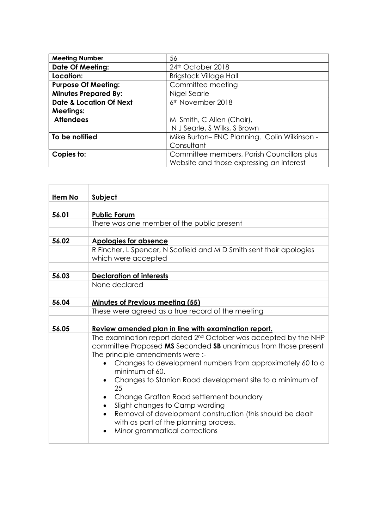| <b>Meeting Number</b>              | 56                                          |
|------------------------------------|---------------------------------------------|
| <b>Date Of Meeting:</b>            | 24 <sup>th</sup> October 2018               |
| Location:                          | <b>Brigstock Village Hall</b>               |
| <b>Purpose Of Meeting:</b>         | Committee meeting                           |
| <b>Minutes Prepared By:</b>        | Nigel Searle                                |
| <b>Date &amp; Location Of Next</b> | 6 <sup>th</sup> November 2018               |
| <b>Meetings:</b>                   |                                             |
| <b>Attendees</b>                   | M Smith, C Allen (Chair),                   |
|                                    | N J Searle, S Wilks, S Brown                |
| To be notified                     | Mike Burton-ENC Planning. Colin Wilkinson - |
|                                    | Consultant                                  |
| Copies to:                         | Committee members, Parish Councillors plus  |
|                                    | Website and those expressing an interest    |

| <b>Item No</b> | Subject                                                                                                                                                                                                                                                                                                                       |  |
|----------------|-------------------------------------------------------------------------------------------------------------------------------------------------------------------------------------------------------------------------------------------------------------------------------------------------------------------------------|--|
| 56.01          | <b>Public Forum</b>                                                                                                                                                                                                                                                                                                           |  |
|                | There was one member of the public present                                                                                                                                                                                                                                                                                    |  |
| 56.02          | <b>Apologies for absence</b>                                                                                                                                                                                                                                                                                                  |  |
|                | R Fincher, L Spencer, N Scofield and M D Smith sent their apologies<br>which were accepted                                                                                                                                                                                                                                    |  |
| 56.03          | <b>Declaration of interests</b>                                                                                                                                                                                                                                                                                               |  |
|                | None declared                                                                                                                                                                                                                                                                                                                 |  |
| 56.04          | <b>Minutes of Previous meeting (55)</b>                                                                                                                                                                                                                                                                                       |  |
|                | These were agreed as a true record of the meeting                                                                                                                                                                                                                                                                             |  |
| 56.05          | Review amended plan in line with examination report.                                                                                                                                                                                                                                                                          |  |
|                | The examination report dated 2 <sup>nd</sup> October was accepted by the NHP<br>committee Proposed MS Seconded SB unanimous from those present<br>The principle amendments were :-<br>Changes to development numbers from approximately 60 to a<br>minimum of 60.<br>Changes to Stanion Road development site to a minimum of |  |
|                | 25<br>Change Grafton Road settlement boundary<br>Slight changes to Camp wording<br>Removal of development construction (this should be dealt<br>with as part of the planning process.<br>Minor grammatical corrections                                                                                                        |  |